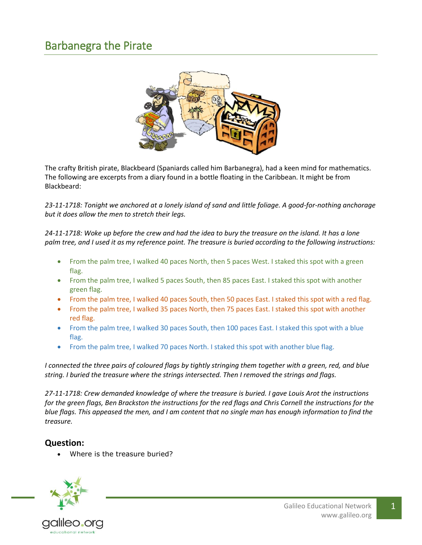

The crafty British pirate, Blackbeard (Spaniards called him Barbanegra), had a keen mind for mathematics. The following are excerpts from a diary found in a bottle floating in the Caribbean. It might be from Blackbeard:

*23-11-1718: Tonight we anchored at a lonely island of sand and little foliage. A good-for-nothing anchorage but it does allow the men to stretch their legs.*

*24-11-1718: Woke up before the crew and had the idea to bury the treasure on the island. It has a lone palm tree, and I used it as my reference point. The treasure is buried according to the following instructions:*

- From the palm tree, I walked 40 paces North, then 5 paces West. I staked this spot with a green flag.
- From the palm tree, I walked 5 paces South, then 85 paces East. I staked this spot with another green flag.
- From the palm tree, I walked 40 paces South, then 50 paces East. I staked this spot with a red flag.
- From the palm tree, I walked 35 paces North, then 75 paces East. I staked this spot with another red flag.
- From the palm tree, I walked 30 paces South, then 100 paces East. I staked this spot with a blue flag.
- From the palm tree, I walked 70 paces North. I staked this spot with another blue flag.

*I connected the three pairs of coloured flags by tightly stringing them together with a green, red, and blue string. I buried the treasure where the strings intersected. Then I removed the strings and flags.*

*27-11-1718: Crew demanded knowledge of where the treasure is buried. I gave Louis Arot the instructions for the green flags, Ben Brackston the instructions for the red flags and Chris Cornell the instructions for the blue flags. This appeased the men, and I am content that no single man has enough information to find the treasure.*

## **Question:**

Where is the treasure buried?

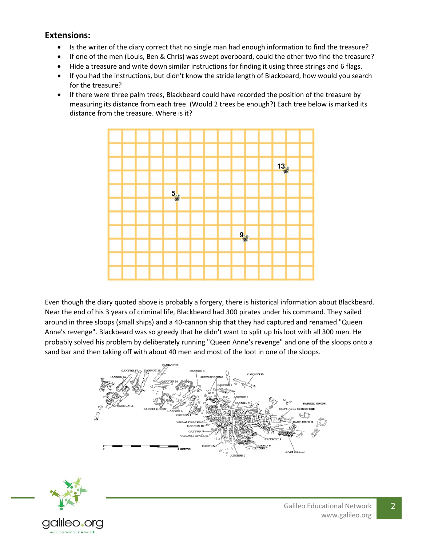## **Extensions:**

- Is the writer of the diary correct that no single man had enough information to find the treasure?
- If one of the men (Louis, Ben & Chris) was swept overboard, could the other two find the treasure?
- Hide a treasure and write down similar instructions for finding it using three strings and 6 flags.
- If you had the instructions, but didn't know the stride length of Blackbeard, how would you search for the treasure?
- If there were three palm trees, Blackbeard could have recorded the position of the treasure by measuring its distance from each tree. (Would 2 trees be enough?) Each tree below is marked its distance from the treasure. Where is it?



Even though the diary quoted above is probably a forgery, there is historical information about Blackbeard. Near the end of his 3 years of criminal life, Blackbeard had 300 pirates under his command. They sailed around in three sloops (small ships) and a 40-cannon ship that they had captured and renamed "Queen Anne's revenge". Blackbeard was so greedy that he didn't want to split up his loot with all 300 men. He probably solved his problem by deliberately running "Queen Anne's revenge" and one of the sloops onto a sand bar and then taking off with about 40 men and most of the loot in one of the sloops.